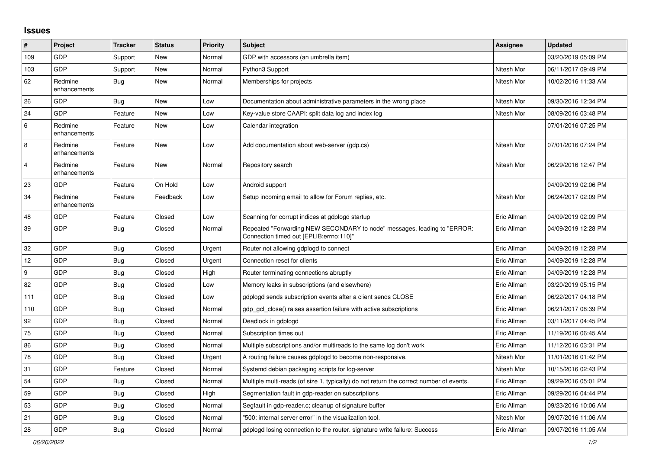## **Issues**

| #              | Project                 | <b>Tracker</b> | <b>Status</b> | <b>Priority</b> | <b>Subject</b>                                                                                                      | <b>Assignee</b> | <b>Updated</b>      |
|----------------|-------------------------|----------------|---------------|-----------------|---------------------------------------------------------------------------------------------------------------------|-----------------|---------------------|
| 109            | GDP                     | Support        | New           | Normal          | GDP with accessors (an umbrella item)                                                                               |                 | 03/20/2019 05:09 PM |
| 103            | <b>GDP</b>              | Support        | <b>New</b>    | Normal          | Python3 Support                                                                                                     | Nitesh Mor      | 06/11/2017 09:49 PM |
| 62             | Redmine<br>enhancements | <b>Bug</b>     | New           | Normal          | Memberships for projects                                                                                            | Nitesh Mor      | 10/02/2016 11:33 AM |
| 26             | GDP                     | Bug            | New           | Low             | Documentation about administrative parameters in the wrong place                                                    | Nitesh Mor      | 09/30/2016 12:34 PM |
| 24             | <b>GDP</b>              | Feature        | New           | Low             | Key-value store CAAPI: split data log and index log                                                                 | Nitesh Mor      | 08/09/2016 03:48 PM |
| 6              | Redmine<br>enhancements | Feature        | New           | Low             | Calendar integration                                                                                                |                 | 07/01/2016 07:25 PM |
| 8              | Redmine<br>enhancements | Feature        | New           | Low             | Add documentation about web-server (gdp.cs)                                                                         | Nitesh Mor      | 07/01/2016 07:24 PM |
| $\overline{4}$ | Redmine<br>enhancements | Feature        | New           | Normal          | Repository search                                                                                                   | Nitesh Mor      | 06/29/2016 12:47 PM |
| 23             | GDP                     | Feature        | On Hold       | Low             | Android support                                                                                                     |                 | 04/09/2019 02:06 PM |
| 34             | Redmine<br>enhancements | Feature        | Feedback      | Low             | Setup incoming email to allow for Forum replies, etc.                                                               | Nitesh Mor      | 06/24/2017 02:09 PM |
| 48             | GDP                     | Feature        | Closed        | Low             | Scanning for corrupt indices at gdplogd startup                                                                     | Eric Allman     | 04/09/2019 02:09 PM |
| 39             | <b>GDP</b>              | Bug            | Closed        | Normal          | Repeated "Forwarding NEW SECONDARY to node" messages, leading to "ERROR:<br>Connection timed out [EPLIB:errno:110]" | Eric Allman     | 04/09/2019 12:28 PM |
| 32             | GDP                     | <b>Bug</b>     | Closed        | Urgent          | Router not allowing gdplogd to connect                                                                              | Eric Allman     | 04/09/2019 12:28 PM |
| 12             | <b>GDP</b>              | <b>Bug</b>     | Closed        | Urgent          | Connection reset for clients                                                                                        | Eric Allman     | 04/09/2019 12:28 PM |
| 9              | <b>GDP</b>              | <b>Bug</b>     | Closed        | High            | Router terminating connections abruptly                                                                             | Eric Allman     | 04/09/2019 12:28 PM |
| 82             | <b>GDP</b>              | <b>Bug</b>     | Closed        | Low             | Memory leaks in subscriptions (and elsewhere)                                                                       | Eric Allman     | 03/20/2019 05:15 PM |
| 111            | <b>GDP</b>              | <b>Bug</b>     | Closed        | Low             | gdplogd sends subscription events after a client sends CLOSE                                                        | Eric Allman     | 06/22/2017 04:18 PM |
| 110            | <b>GDP</b>              | Bug            | Closed        | Normal          | gdp gcl close() raises assertion failure with active subscriptions                                                  | Eric Allman     | 06/21/2017 08:39 PM |
| 92             | <b>GDP</b>              | Bug            | Closed        | Normal          | Deadlock in gdplogd                                                                                                 | Eric Allman     | 03/11/2017 04:45 PM |
| 75             | <b>GDP</b>              | <b>Bug</b>     | Closed        | Normal          | Subscription times out                                                                                              | Eric Allman     | 11/19/2016 06:45 AM |
| 86             | <b>GDP</b>              | <b>Bug</b>     | Closed        | Normal          | Multiple subscriptions and/or multireads to the same log don't work                                                 | Eric Allman     | 11/12/2016 03:31 PM |
| 78             | <b>GDP</b>              | <b>Bug</b>     | Closed        | Urgent          | A routing failure causes gdplogd to become non-responsive.                                                          | Nitesh Mor      | 11/01/2016 01:42 PM |
| 31             | <b>GDP</b>              | Feature        | Closed        | Normal          | Systemd debian packaging scripts for log-server                                                                     | Nitesh Mor      | 10/15/2016 02:43 PM |
| 54             | <b>GDP</b>              | <b>Bug</b>     | Closed        | Normal          | Multiple multi-reads (of size 1, typically) do not return the correct number of events.                             | Eric Allman     | 09/29/2016 05:01 PM |
| 59             | GDP                     | <b>Bug</b>     | Closed        | High            | Segmentation fault in gdp-reader on subscriptions                                                                   | Eric Allman     | 09/29/2016 04:44 PM |
| 53             | GDP                     | <b>Bug</b>     | Closed        | Normal          | Segfault in gdp-reader.c; cleanup of signature buffer                                                               | Eric Allman     | 09/23/2016 10:06 AM |
| 21             | GDP                     | Bug            | Closed        | Normal          | "500: internal server error" in the visualization tool.                                                             | Nitesh Mor      | 09/07/2016 11:06 AM |
| 28             | GDP                     | <b>Bug</b>     | Closed        | Normal          | gdplogd losing connection to the router, signature write failure: Success                                           | Eric Allman     | 09/07/2016 11:05 AM |